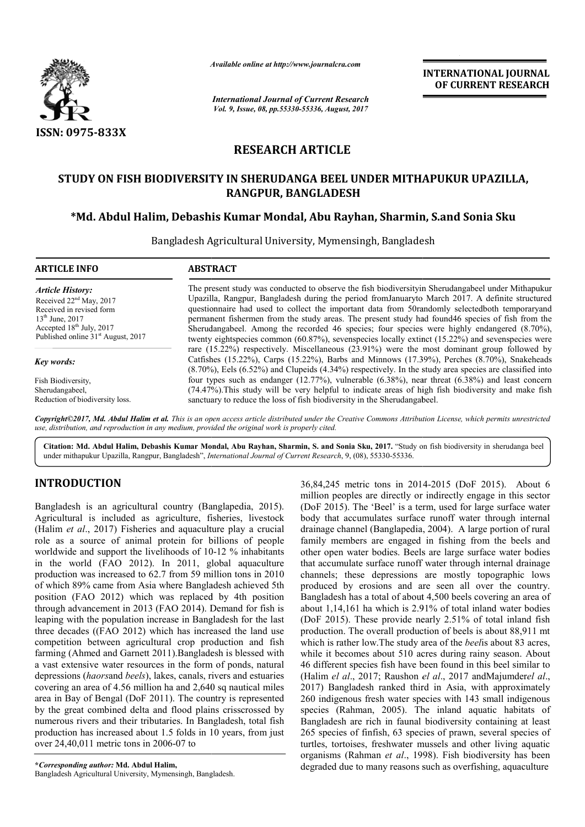

*Available online at http://www.journal http://www.journalcra.com*

*International Journal of Current Research Vol. 9, Issue, 08, pp.55330-55336, August, 2017* **INTERNATIONAL JOURNAL OF CURRENT RESEARCH** 

# **RESEARCH ARTICLE**

# STUDY ON FISH BIODIVERSITY IN SHERUDANGA BEEL UNDER MITHAPUKUR UPAZILLA,<br>RANGPUR, BANGLADESH<br>Md. Abdul Halim, Debashis Kumar Mondal, Abu Rayhan, Sharmin, S.and Sonia Sku\*\* **RANGPUR, BANGLADESH**

# **\*Md. Abdul Halim, Debashis Kumar Mondal, Abu Rayhan, Sharmin**

Bangladesh Agricultural University, Mymensingh, Bangladesh

| <b>ARTICLE INFO</b>                            | <b>ABSTRACT</b>                                                                                                                                                                                                                                                                                                      |
|------------------------------------------------|----------------------------------------------------------------------------------------------------------------------------------------------------------------------------------------------------------------------------------------------------------------------------------------------------------------------|
| <b>Article History:</b>                        | The present study was conducted to observe the fish biodiversity in Sherudangabeel under Mithapukur                                                                                                                                                                                                                  |
| Received $22nd$ May, 2017                      | Upazilla, Rangpur, Bangladesh during the period from Januaryto March 2017. A definite structured                                                                                                                                                                                                                     |
| Received in revised form                       | questionnaire had used to collect the important data from 50randomly selectedboth temporaryand                                                                                                                                                                                                                       |
| $13th$ June, 2017                              | permanent fishermen from the study areas. The present study had found46 species of fish from the                                                                                                                                                                                                                     |
| Accepted $18th$ July, 2017                     | Sherudangabeel. Among the recorded 46 species; four species were highly endangered (8.70%),                                                                                                                                                                                                                          |
| Published online 31 <sup>st</sup> August, 2017 | twenty eightspecies common $(60.87%)$ , sevenspecies locally extinct $(15.22%)$ and sevenspecies were                                                                                                                                                                                                                |
| Key words:                                     | rare $(15.22\%)$ respectively. Miscellaneous $(23.91\%)$ were the most dominant group followed by<br>Catfishes (15.22%), Carps (15.22%), Barbs and Minnows (17.39%), Perches (8.70%), Snakeheads<br>$(8.70\%)$ , Eels $(6.52\%)$ and Clupeids $(4.34\%)$ respectively. In the study area species are classified into |
| Fish Biodiversity,                             | four types such as endanger $(12.77%)$ , vulnerable $(6.38%)$ , near threat $(6.38%)$ and least concern                                                                                                                                                                                                              |
| Sherudangabeel,                                | (74.47%). This study will be very helpful to indicate areas of high fish biodiversity and make fish                                                                                                                                                                                                                  |
| Reduction of biodiversity loss.                | sanctuary to reduce the loss of fish biodiversity in the Sherudangabeel.                                                                                                                                                                                                                                             |

Copyright©2017, Md. Abdul Halim et al. This is an open access article distributed under the Creative Commons Attribution License, which permits unrestricted *use, distribution, and reproduction in any medium, provided the original work is properly cited.*

Citation: Md. Abdul Halim, Debashis Kumar Mondal, Abu Rayhan, Sharmin, S. and Sonia Sku, 2017. "Study on fish biodiversity in sherudanga beel under mithapukur Upazilla, Rangpur, Bangladesh", *International Journal of Current Research* , 9, (08), 55330-55336.

# **INTRODUCTION**

Bangladesh is an agricultural country (Banglapedia, 2015). Agricultural is included as agriculture, fisheries, livestock (Halim *et al*., 2017) Fisheries and aquaculture play a crucial role as a source of animal protein for billions of people worldwide and support the livelihoods of 10 10-12 % inhabitants in the world (FAO 2012). In 2011, global aquaculture production was increased to 62.7 from 59 million tons in 2010 of which 89% came from Asia where Bangladesh achieved 5th position (FAO 2012) which was replaced by 4th position through advancement in 2013 (FAO 2014). Demand for fish is leaping with the population increase in Bangladesh for the last three decades ((FAO 2012) which has increased the land use competition between agricultural crop production and fish farming (Ahmed and Garnett 2011).Bangladesh is blessed with a vast extensive water resources in the form of ponds, natural depressions (*haors*and *beels*), lakes, canals, rivers and estuaries covering an area of 4.56 million ha and 2,640 sq nautical miles area in Bay of Bengal (DoF 2011). The country is represented by the great combined delta and flood plains crisscrossed by numerous rivers and their tributaries. In Bangladesh, total fish production has increased about 1.5 folds in 10 years, from just over 24,40,011 metric tons in 2006-07 to ich was replaced by 4th position<br>013 (FAO 2014). Demand for fish is<br>01 increase in Bangladesh for the last<br>(1) which has increased the land use<br>cultural crop production and fish Bangladesh is blessed with<br>the form of ponds, natural<br>canals, rivers and estuaries<br>and 2,640 sq nautical miles

**\****Corresponding author:* **Md. Abdul Halim,** Bangladesh Agricultural University, Mymensingh, Bangladesh Bangladesh.

36,84,245 metric tons in 2014 2014-2015 (DoF 2015). About 6 million peoples are directly or indirectly engage in this sector (DoF 2015). The 'Beel' is a term, used for large surface water body that accumulates surface runoff water through internal million peoples are directly or indirectly engage in this sector (DoF 2015). The 'Beel' is a term, used for large surface water body that accumulates surface runoff water through internal drainage channel (Banglapedia, 200 family members are engaged in fishing from the beels and other open water bodies. Beels are large surface water bodies that accumulate surface runoff water through internal drainage channels; these depressions are mostly topographic lows produced by erosions and are seen all over the country. Bangladesh has a total of about 4,500 beels covering an area of about 1,14,161 ha which is 2.91% of total inland water bodies (DoF 2015). These provide nearly 2.51% of total inland fish production. The overall production of beels is about 88,911 mt which is rather low. The study area of the *beel* is about 83 acres. while it becomes about 510 acres during rainy season. About 46 different species fish have been found in this beel similar to (Halim *el al*., 2017; Raushon *el al el al*., 2017 andMajumder*el al*., 2017) Bangladesh ranked third in Asia, with approximately 260 indigenous fresh water species with 143 small indigenous species (Rahman, 2005). The inland aquatic habitats of Bangladesh are rich in faunal biodiversity containing at least 265 species of finfish, 63 species of prawn, several species of turtles, tortoises, freshwater mussels and other living aquatic organisms (Rahman *et al*., 1998). Fish biodiversity has been degraded due to many reasons such as overfishing, aquaculture fishing from the beels and<br>er bodies. Beels are large surface water bodies<br>surface runoff water through internal drainage<br>e depressions are mostly topographic lows<br>rosions and are seen all over the country.<br>a total of abou 7) Bangladesh ranked third in Asia, with approximately indigenous fresh water species with 143 small indigenous ies (Rahman, 2005). The inland aquatic habitats of gladesh are rich in faunal biodiversity containing at least **INTERNATIONAL JOUENAL (SEE ASSA) OF CURRENT RESEARCH**<br> **OF CURRENT RESEARCH**<br> **CLE**<br> **CLE**<br> **CLE**<br> **CLE**<br> **CLE**<br> **CLE**<br> **CLE**<br> **CLE**<br> **CLE**<br> **CLE**<br> **CLE**<br> **CLE**<br> **CLE**<br> **CLE**<br> **CLE**<br> **CLE**<br> **CLE**<br> **CLE**<br> **CLE**<br> **CLE**<br>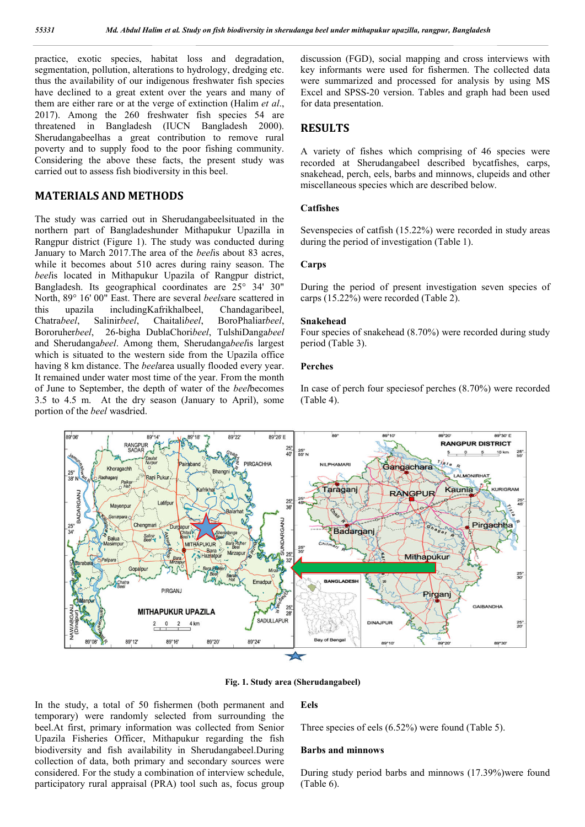practice, exotic species, habitat loss and degradation, segmentation, pollution, alterations to hydrology, dredging etc. thus the availability of our indigenous freshwater fish species have declined to a great extent over the years and many of them are either rare or at the verge of extinction (Halim *et al*., 2017). Among the 260 freshwater fish species 54 are threatened in Bangladesh (IUCN Bangladesh 2000). Sherudangabeelhas a great contribution to remove rural poverty and to supply food to the poor fishing community. Considering the above these facts, the present study was carried out to assess fish biodiversity in this beel.

# **MATERIALS AND METHODS**

The study was carried out in Sherudangabeelsituated in the northern part of Bangladeshunder Mithapukur Upazilla in Rangpur district (Figure 1). The study was conducted during January to March 2017.The area of the *beel*is about 83 acres, while it becomes about 510 acres during rainy season. The *beel*is located in Mithapukur Upazila of Rangpur district, Bangladesh. Its geographical coordinates are 25° 34' 30" North, 89° 16' 00" East. There are several *beels*are scattered in this upazila includingKafrikhalbeel, Chandagaribeel, Chatra*beel*, Salinir*beel*, Chaitali*beel*, BoroPhaliar*beel*, Bororuher*beel*, 26-bigha DublaChori*beel*, TulshiDanga*beel* and Sherudanga*beel*. Among them, Sherudanga*beel*is largest which is situated to the western side from the Upazila office having 8 km distance. The *beel*area usually flooded every year. It remained under water most time of the year. From the month of June to September, the depth of water of the *beel*becomes 3.5 to 4.5 m. At the dry season (January to April), some portion of the *beel* wasdried.

discussion (FGD), social mapping and cross interviews with key informants were used for fishermen. The collected data were summarized and processed for analysis by using MS Excel and SPSS-20 version. Tables and graph had been used for data presentation.

# **RESULTS**

A variety of fishes which comprising of 46 species were recorded at Sherudangabeel described bycatfishes, carps, snakehead, perch, eels, barbs and minnows, clupeids and other miscellaneous species which are described below.

#### **Catfishes**

Sevenspecies of catfish (15.22%) were recorded in study areas during the period of investigation (Table 1).

#### **Carps**

During the period of present investigation seven species of carps (15.22%) were recorded (Table 2).

### **Snakehead**

Four species of snakehead (8.70%) were recorded during study period (Table 3).

### **Perches**

In case of perch four speciesof perches (8.70%) were recorded (Table 4).





In the study, a total of 50 fishermen (both permanent and temporary) were randomly selected from surrounding the beel.At first, primary information was collected from Senior Upazila Fisheries Officer, Mithapukur regarding the fish biodiversity and fish availability in Sherudangabeel.During collection of data, both primary and secondary sources were considered. For the study a combination of interview schedule, participatory rural appraisal (PRA) tool such as, focus group

# **Eels**

Three species of eels (6.52%) were found (Table 5).

#### **Barbs and minnows**

During study period barbs and minnows (17.39%)were found (Table 6).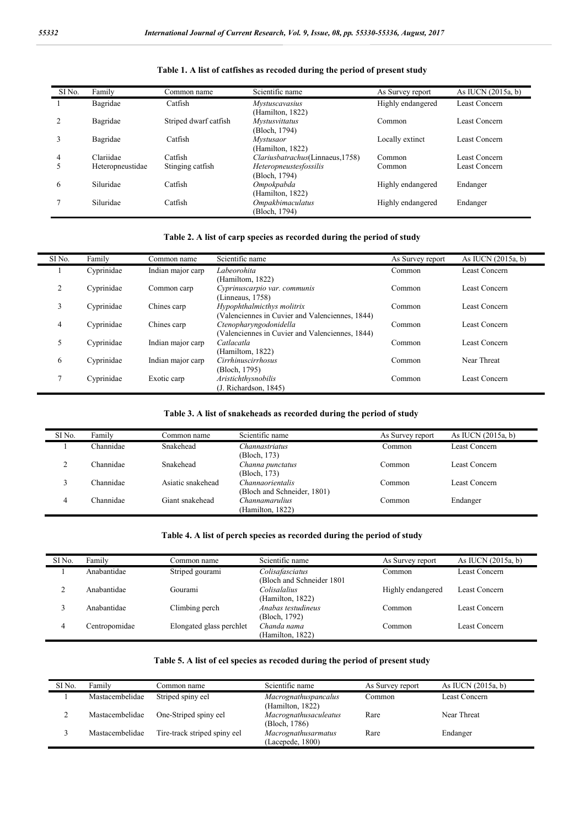| SI <sub>No.</sub> | Family           | Common name           | Scientific name                                 | As Survey report  | As IUCN (2015a, b) |
|-------------------|------------------|-----------------------|-------------------------------------------------|-------------------|--------------------|
|                   | Bagridae         | Catfish               | Mystuscavasius<br>(Hamilton, 1822)              | Highly endangered | Least Concern      |
|                   | Bagridae         | Striped dwarf catfish | <i>Mystusvittatus</i><br>(Bloch, 1794)          | Common            | Least Concern      |
|                   | Bagridae         | Catfish               | <i>Mystusaor</i><br>(Hamilton, 1822)            | Locally extinct   | Least Concern      |
| 4                 | Clariidae        | Catfish               | Clariusbatrachus(Linnaeus, 1758)                | Common            | Least Concern      |
|                   | Heteropneustidae | Stinging catfish      | Heteropneustesfossilis<br>(Bloch, 1794)         | Common            | Least Concern      |
| 6                 | Siluridae        | Catfish               | Ompokpabda<br>(Hamilton, 1822)                  | Highly endangered | Endanger           |
|                   | Siluridae        | Catfish               | <i><b>Ompakbimaculatus</b></i><br>(Bloch, 1794) | Highly endangered | Endanger           |

**Table 1. A list of catfishes as recoded during the period of present study**

## **Table 2. A list of carp species as recorded during the period of study**

| SI <sub>No.</sub> | Family     | Common name       | Scientific name                                 | As Survey report | As IUCN (2015a, b) |
|-------------------|------------|-------------------|-------------------------------------------------|------------------|--------------------|
|                   | Cyprinidae | Indian major carp | Labeorohita                                     | Common           | Least Concern      |
|                   |            |                   | (Hamiltom, 1822)                                |                  |                    |
| $\overline{2}$    | Cyprinidae | Common carp       | Cyprinuscarpio var. communis                    | Common           | Least Concern      |
|                   |            |                   | (Linneaus, 1758)                                |                  |                    |
| 3                 | Cyprinidae | Chines carp       | Hypophthalmicthys molitrix                      | Common           | Least Concern      |
|                   |            |                   | (Valenciennes in Cuvier and Valenciennes, 1844) |                  |                    |
| 4                 | Cyprinidae | Chines carp       | Ctenopharyngodonidella                          | Common           | Least Concern      |
|                   |            |                   | (Valenciennes in Cuvier and Valenciennes, 1844) |                  |                    |
| 5                 | Cyprinidae | Indian major carp | Catlacatla                                      | Common           | Least Concern      |
|                   |            |                   | (Hamiltom, 1822)                                |                  |                    |
| 6                 | Cyprinidae | Indian major carp | Cirrhinuscirrhosus                              | Common           | Near Threat        |
|                   |            |                   | (Bloch, 1795)                                   |                  |                    |
| $\overline{7}$    | Cyprinidae | Exotic carp       | Aristichthysnobilis                             | Common           | Least Concern      |
|                   |            |                   | (J. Richardson, 1845)                           |                  |                    |

## **Table 3. A list of snakeheads as recorded during the period of study**

| SI <sub>No.</sub> | Family    | Common name       | Scientific name                                 | As Survey report | As IUCN $(2015a, b)$ |
|-------------------|-----------|-------------------|-------------------------------------------------|------------------|----------------------|
|                   | Channidae | Snakehead         | Channastriatus<br>(Bloch, 173)                  | Common           | Least Concern        |
|                   | Channidae | Snakehead         | Channa punctatus<br>(Bloch, 173)                | Common           | Least Concern        |
|                   | Channidae | Asiatic snakehead | Channaorientalis<br>(Bloch and Schneider, 1801) | Common           | Least Concern        |
| 4                 | Channidae | Giant snakehead   | <i>Channamarulius</i><br>(Hamilton, 1822)       | Common           | Endanger             |

# **Table 4. A list of perch species as recorded during the period of study**

| SI No. | Family        | Common name              | Scientific name                               | As Survey report  | As IUCN $(2015a, b)$ |
|--------|---------------|--------------------------|-----------------------------------------------|-------------------|----------------------|
|        | Anabantidae   | Striped gourami          | Colisafasciatus<br>(Bloch and Schneider 1801) | Common            | <b>Least Concern</b> |
|        | Anabantidae   | Gourami                  | Colisalalius<br>(Hamilton, 1822)              | Highly endangered | Least Concern        |
|        | Anabantidae   | Climbing perch           | Anabas testudineus<br>(Bloch, 1792)           | Common            | Least Concern        |
| 4      | Centropomidae | Elongated glass perchlet | Chanda nama<br>(Hamilton, 1822)               | Common            | Least Concern        |

# **Table 5. A list of eel species as recoded during the period of present study**

| SI No. | Family          | Common name                  | Scientific name                          | As Survey report | As IUCN (2015a, b) |
|--------|-----------------|------------------------------|------------------------------------------|------------------|--------------------|
|        | Mastacembelidae | Striped spiny eel            | Macrognathuspancalus<br>(Hamilton, 1822) | Common           | Least Concern      |
| ∼      | Mastacembelidae | One-Striped spiny eel        | Macrognathusaculeatus<br>(Bloch, 1786)   | Rare             | Near Threat        |
|        | Mastacembelidae | Tire-track striped spiny eel | Macrognathusarmatus<br>(Lacepede, 1800)  | Rare             | Endanger           |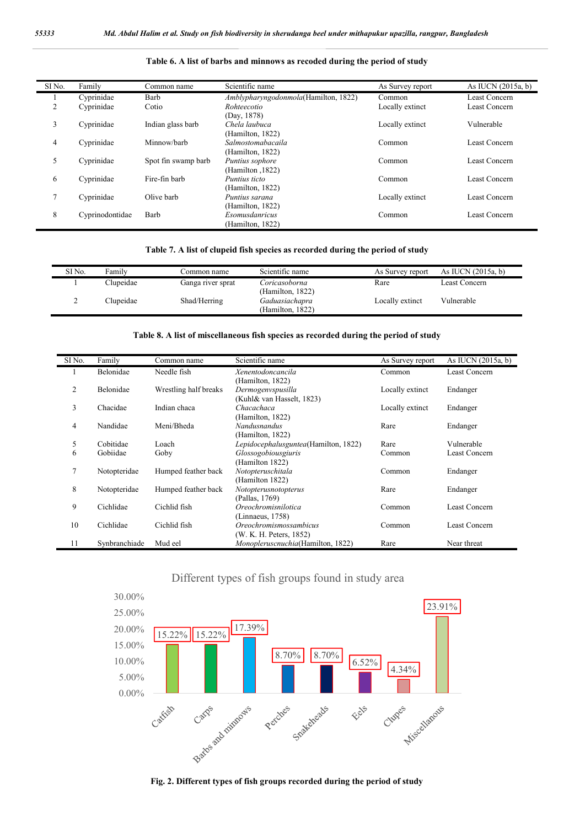| SI <sub>No.</sub> | Family          | Common name         | Scientific name                           | As Survey report | As IUCN $(2015a, b)$ |
|-------------------|-----------------|---------------------|-------------------------------------------|------------------|----------------------|
|                   | Cyprinidae      | Barb                | Amblypharyngodonmola(Hamilton, 1822)      | Common           | Least Concern        |
| 2                 | Cyprinidae      | Cotio               | Rohteecotio<br>(Day, 1878)                | Locally extinct  | Least Concern        |
| 3                 | Cyprinidae      | Indian glass barb   | Chela laubuca<br>(Hamilton, 1822)         | Locally extinct  | Vulnerable           |
| 4                 | Cyprinidae      | Minnow/barb         | Salmostomabacaila<br>(Hamilton, 1822)     | Common           | Least Concern        |
| 5                 | Cyprinidae      | Spot fin swamp barb | Puntius sophore<br>(Hamilton , 1822)      | Common           | Least Concern        |
| 6                 | Cyprinidae      | Fire-fin barb       | <i>Puntius ticto</i><br>(Hamilton, 1822)  | Common           | <b>Least Concern</b> |
|                   | Cyprinidae      | Olive barb          | Puntius sarana<br>(Hamilton, 1822)        | Locally extinct  | Least Concern        |
| 8                 | Cyprinodontidae | Barb                | <i>Esomusdanricus</i><br>(Hamilton, 1822) | Common           | Least Concern        |

## **Table 6. A list of barbs and minnows as recoded during the period of study**

## **Table 7. A list of clupeid fish species as recorded during the period of study**

| SI No. | Family    | Common name       | Scientific name                    | As Survey report | As IUCN $(2015a, b)$ |
|--------|-----------|-------------------|------------------------------------|------------------|----------------------|
|        | Clupeidae | Ganga river sprat | Coricasoborna<br>(Hamilton, 1822)  | Rare             | Least Concern        |
|        | Clupeidae | Shad/Herring      | Gaduasiachapra<br>(Hamilton, 1822) | Locally extinct  | Vulnerable           |

#### **Table 8. A list of miscellaneous fish species as recorded during the period of study**

| SI No.         | Family        | Common name           | Scientific name                      | As Survey report | As IUCN (2015a, b)   |
|----------------|---------------|-----------------------|--------------------------------------|------------------|----------------------|
|                | Belonidae     | Needle fish           | Xenentodoncancila                    | Common           | Least Concern        |
|                |               |                       | (Hamilton, 1822)                     |                  |                      |
| $\overline{c}$ | Belonidae     | Wrestling half breaks | Dermogenvspusilla                    | Locally extinct  | Endanger             |
|                |               |                       | (Kuhl& van Hasselt, 1823)            |                  |                      |
| 3              | Chacidae      | Indian chaca          | Chacachaca                           | Locally extinct  | Endanger             |
|                |               |                       | (Hamilton, 1822)                     |                  |                      |
| 4              | Nandidae      | Meni/Bheda            | <b>Nandusnandus</b>                  | Rare             | Endanger             |
|                |               |                       | (Hamilton, 1822)                     |                  |                      |
| 5              | Cobitidae     | Loach                 | Lepidocephalusguntea(Hamilton, 1822) | Rare             | Vulnerable           |
| 6              | Gobiidae      | Goby                  | Glossogobiousgiuris                  | Common           | <b>Least Concern</b> |
|                |               |                       | (Hamilton 1822)                      |                  |                      |
| 7              | Notopteridae  | Humped feather back   | Notopteruschitala                    | Common           | Endanger             |
|                |               |                       | (Hamilton 1822)                      |                  |                      |
| 8              | Notopteridae  | Humped feather back   | Notopterusnotopterus                 | Rare             | Endanger             |
|                |               |                       | (Pallas, 1769)                       |                  |                      |
| 9              | Cichlidae     | Cichlid fish          | Oreochromisnilotica                  | Common           | Least Concern        |
|                |               |                       | (Linnaeus, 1758)                     |                  |                      |
| 10             | Cichlidae     | Cichlid fish          | <i>Oreochromismossambicus</i>        | Common           | Least Concern        |
|                |               |                       | (W. K. H. Peters, 1852)              |                  |                      |
| 11             | Synbranchiade | Mud eel               | Monopleruscnuchia(Hamilton, 1822)    | Rare             | Near threat          |

# Different types of fish groups found in study area



**Fig. 2. Different types of fish groups recorded during the period of study**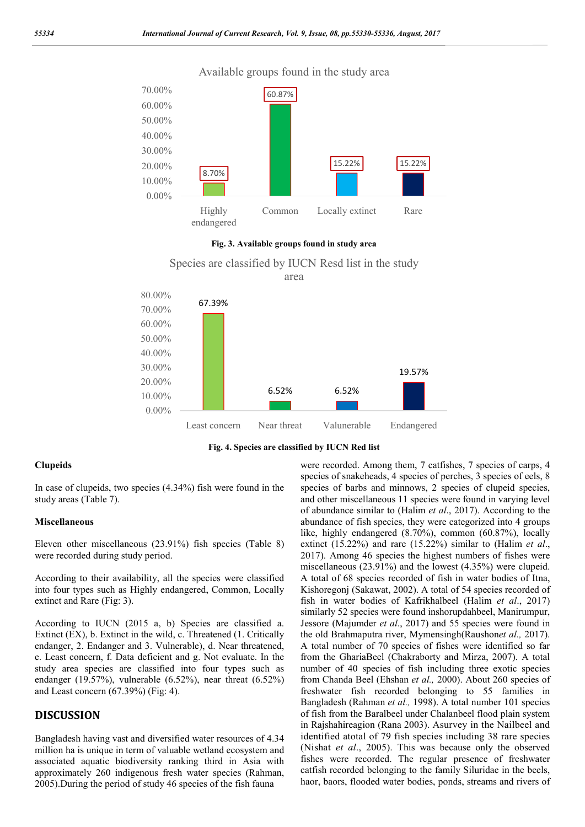

**Fig. 3. Available groups found in study area** 

Species are classified by IUCN Resd list in the study area



**Fig. 4. Species are classified by IUCN Red list**

#### **Clupeids**

In case of clupeids, two species (4.34%) fish were found in the study areas (Table 7).

#### **Miscellaneous**

Eleven other miscellaneous (23.91%) fish species (Table 8) were recorded during study period.

According to their availability, all the species were classified into four types such as Highly endangered, Common, Locally extinct and Rare (Fig: 3).

According to IUCN (2015 a, b) Species are classified a. Extinct (EX), b. Extinct in the wild, c. Threatened (1. Critically endanger, 2. Endanger and 3. Vulnerable), d. Near threatened, e. Least concern, f. Data deficient and g. Not evaluate. In the study area species are classified into four types such as endanger (19.57%), vulnerable (6.52%), near threat (6.52%) and Least concern (67.39%) (Fig: 4).

# **DISCUSSION**

Bangladesh having vast and diversified water resources of 4.34 million ha is unique in term of valuable wetland ecosystem and associated aquatic biodiversity ranking third in Asia with approximately 260 indigenous fresh water species (Rahman, 2005).During the period of study 46 species of the fish fauna

were recorded. Among them, 7 catfishes, 7 species of carps, 4 species of snakeheads, 4 species of perches, 3 species of eels, 8 species of barbs and minnows, 2 species of clupeid species, and other miscellaneous 11 species were found in varying level of abundance similar to (Halim *et al*., 2017). According to the abundance of fish species, they were categorized into 4 groups like, highly endangered (8.70%), common (60.87%), locally extinct (15.22%) and rare (15.22%) similar to (Halim *et al*., 2017). Among 46 species the highest numbers of fishes were miscellaneous (23.91%) and the lowest (4.35%) were clupeid. A total of 68 species recorded of fish in water bodies of Itna, Kishoregonj (Sakawat, 2002). A total of 54 species recorded of fish in water bodies of Kafrikhalbeel (Halim *et al*., 2017) similarly 52 species were found inshorupdahbeel, Manirumpur, Jessore (Majumder *et al*., 2017) and 55 species were found in the old Brahmaputra river, Mymensingh(Raushon*et al.,* 2017). A total number of 70 species of fishes were identified so far from the GhariaBeel (Chakraborty and Mirza, 2007). A total number of 40 species of fish including three exotic species from Chanda Beel (Ehshan *et al.,* 2000). About 260 species of freshwater fish recorded belonging to 55 families in Bangladesh (Rahman *et al.,* 1998). A total number 101 species of fish from the Baralbeel under Chalanbeel flood plain system in Rajshahireagion (Rana 2003). Asurvey in the Nailbeel and identified atotal of 79 fish species including 38 rare species (Nishat *et al*., 2005). This was because only the observed fishes were recorded. The regular presence of freshwater catfish recorded belonging to the family Siluridae in the beels, haor, baors, flooded water bodies, ponds, streams and rivers of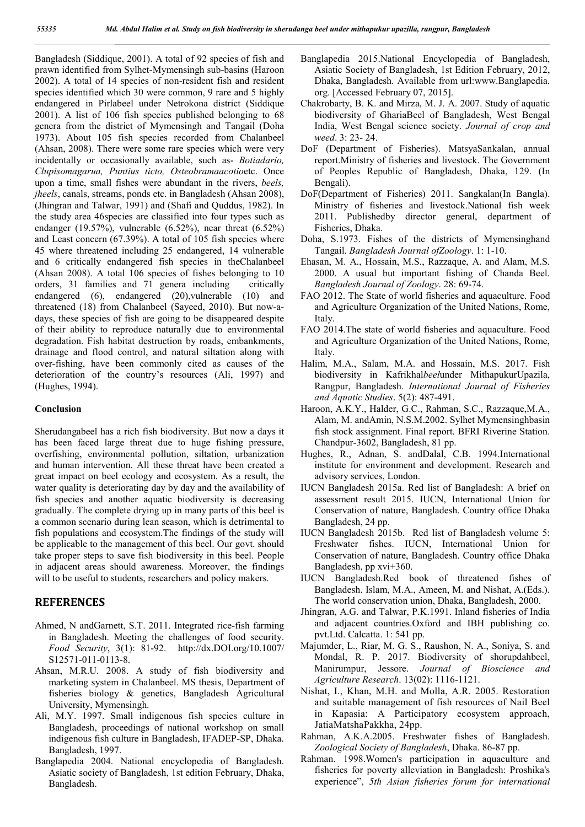Bangladesh (Siddique, 2001). A total of 92 species of fish and prawn identified from Sylhet-Mymensingh sub-basins (Haroon 2002). A total of 14 species of non-resident fish and resident species identified which 30 were common, 9 rare and 5 highly endangered in Pirlabeel under Netrokona district (Siddique 2001). A list of 106 fish species published belonging to 68 genera from the district of Mymensingh and Tangail (Doha 1973). About 105 fish species recorded from Chalanbeel (Ahsan, 2008). There were some rare species which were very incidentally or occasionally available, such as- *Botiadario, Clupisomagarua, Puntius ticto, Osteobramaacotio*etc. Once upon a time, small fishes were abundant in the rivers, *beels, jheels*, canals, streams, ponds etc. in Bangladesh (Ahsan 2008), (Jhingran and Talwar, 1991) and (Shafi and Quddus, 1982). In the study area 46species are classified into four types such as endanger (19.57%), vulnerable (6.52%), near threat (6.52%) and Least concern (67.39%). A total of 105 fish species where 45 where threatened including 25 endangered, 14 vulnerable and 6 critically endangered fish species in theChalanbeel (Ahsan 2008). A total 106 species of fishes belonging to 10 orders, 31 families and 71 genera including critically endangered (6), endangered (20),vulnerable (10) and threatened (18) from Chalanbeel (Sayeed, 2010). But now-adays, these species of fish are going to be disappeared despite of their ability to reproduce naturally due to environmental degradation. Fish habitat destruction by roads, embankments, drainage and flood control, and natural siltation along with over-fishing, have been commonly cited as causes of the deterioration of the country's resources (Ali, 1997) and (Hughes, 1994).

#### **Conclusion**

Sherudangabeel has a rich fish biodiversity. But now a days it has been faced large threat due to huge fishing pressure, overfishing, environmental pollution, siltation, urbanization and human intervention. All these threat have been created a great impact on beel ecology and ecosystem. As a result, the water quality is deteriorating day by day and the availability of fish species and another aquatic biodiversity is decreasing gradually. The complete drying up in many parts of this beel is a common scenario during lean season, which is detrimental to fish populations and ecosystem.The findings of the study will be applicable to the management of this beel. Our govt. should take proper steps to save fish biodiversity in this beel. People in adjacent areas should awareness. Moreover, the findings will to be useful to students, researchers and policy makers.

## **REFERENCES**

- Ahmed, N andGarnett, S.T. 2011. Integrated rice-fish farming in Bangladesh. Meeting the challenges of food security. *Food Security*, 3(1): 81-92. http://dx.DOI.org/10.1007/ S12571-011-0113-8.
- Ahsan, M.R.U. 2008. A study of fish biodiversity and marketing system in Chalanbeel. MS thesis, Department of fisheries biology & genetics, Bangladesh Agricultural University, Mymensingh.
- Ali, M.Y. 1997. Small indigenous fish species culture in Bangladesh, proceedings of national workshop on small indigenous fish culture in Bangladesh, IFADEP-SP, Dhaka. Bangladesh, 1997.
- Banglapedia 2004. National encyclopedia of Bangladesh. Asiatic society of Bangladesh, 1st edition February, Dhaka, Bangladesh.
- Banglapedia 2015.National Encyclopedia of Bangladesh, Asiatic Society of Bangladesh, 1st Edition February, 2012, Dhaka, Bangladesh. Available from url:www.Banglapedia. org. [Accessed February 07, 2015].
- Chakrobarty, B. K. and Mirza, M. J. A. 2007. Study of aquatic biodiversity of GhariaBeel of Bangladesh, West Bengal India, West Bengal science society. *Journal of crop and weed*. 3: 23- 24.
- DoF (Department of Fisheries). MatsyaSankalan, annual report.Ministry of fisheries and livestock. The Government of Peoples Republic of Bangladesh, Dhaka, 129. (In Bengali).
- DoF(Department of Fisheries) 2011. Sangkalan(In Bangla). Ministry of fisheries and livestock.National fish week 2011. Publishedby director general, department of Fisheries, Dhaka.
- Doha, S.1973. Fishes of the districts of Mymensinghand Tangail. *Bangladesh Journal ofZoology*. 1: 1-10.
- Ehasan, M. A., Hossain, M.S., Razzaque, A. and Alam, M.S. 2000. A usual but important fishing of Chanda Beel. *Bangladesh Journal of Zoology*. 28: 69-74.
- FAO 2012. The State of world fisheries and aquaculture. Food and Agriculture Organization of the United Nations, Rome, Italy.
- FAO 2014.The state of world fisheries and aquaculture. Food and Agriculture Organization of the United Nations, Rome, Italy.
- Halim, M.A., Salam, M.A. and Hossain, M.S. 2017. Fish biodiversity in Kafrikhal*beel*under MithapukurUpazila, Rangpur, Bangladesh. *International Journal of Fisheries and Aquatic Studies*. 5(2): 487-491.
- Haroon, A.K.Y., Halder, G.C., Rahman, S.C., Razzaque,M.A., Alam, M. andAmin, N.S.M.2002. Sylhet Mymensinghbasin fish stock assignment. Final report. BFRI Riverine Station. Chandpur-3602, Bangladesh, 81 pp.
- Hughes, R., Adnan, S. andDalal, C.B. 1994.International institute for environment and development. Research and advisory services, London.
- IUCN Bangladesh 2015a. Red list of Bangladesh: A brief on assessment result 2015. IUCN, International Union for Conservation of nature, Bangladesh. Country office Dhaka Bangladesh, 24 pp.
- IUCN Bangladesh 2015b. Red list of Bangladesh volume 5: Freshwater fishes. IUCN, International Union for Conservation of nature, Bangladesh. Country office Dhaka Bangladesh, pp xvi+360.
- IUCN Bangladesh.Red book of threatened fishes of Bangladesh. Islam, M.A., Ameen, M. and Nishat, A.(Eds.). The world conservation union, Dhaka, Bangladesh, 2000.
- Jhingran, A.G. and Talwar, P.K.1991. Inland fisheries of India and adjacent countries.Oxford and IBH publishing co. pvt.Ltd. Calcatta. 1: 541 pp.
- Majumder, L., Riar, M. G. S., Raushon, N. A., Soniya, S. and Mondal, R. P. 2017. Biodiversity of shorupdahbeel, Manirumpur, Jessore. *Journal of Bioscience and Agriculture Research*. 13(02): 1116-1121.
- Nishat, I., Khan, M.H. and Molla, A.R. 2005. Restoration and suitable management of fish resources of Nail Beel in Kapasia: A Participatory ecosystem approach, JatiaMatshaPakkha, 24pp.
- Rahman, A.K.A.2005. Freshwater fishes of Bangladesh. *Zoological Society of Bangladesh*, Dhaka. 86-87 pp.
- Rahman. 1998.Women's participation in aquaculture and fisheries for poverty alleviation in Bangladesh: Proshika's experience", *5th Asian fisheries forum for international*